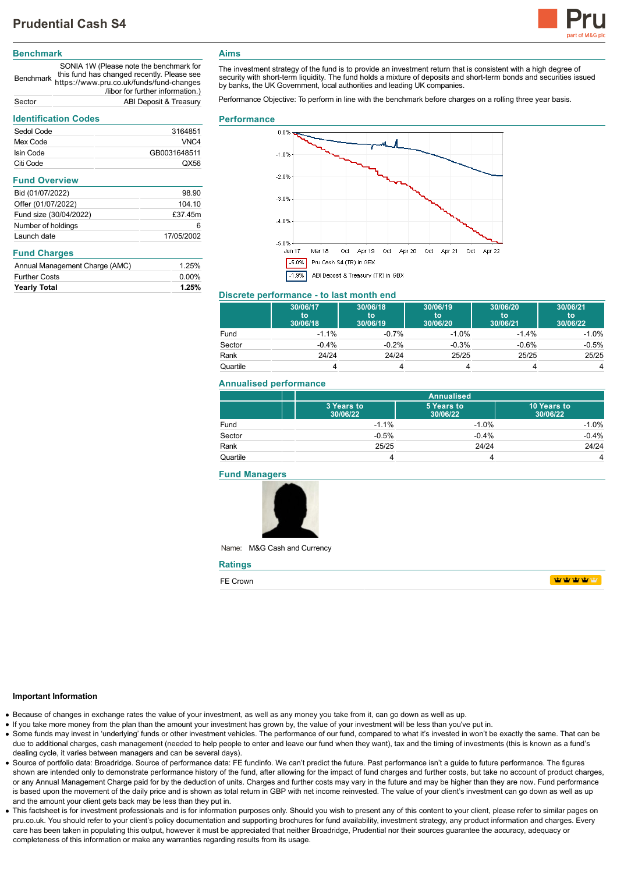

## **Benchmark**

Benchmark https://www.pru.co.uk/funds/fund-changes SONIA 1W (Please note the benchmark for this fund has changed recently. Please see /libor for further information.) Sector ABI Deposit & Treasury

# **Identification Codes**

| identification Codes           |              |  |
|--------------------------------|--------------|--|
| Sedol Code                     | 3164851      |  |
| Mex Code                       | VNC4         |  |
| Isin Code                      | GB0031648511 |  |
| Citi Code                      | QX56         |  |
| <b>Fund Overview</b>           |              |  |
| Bid (01/07/2022)               | 98.90        |  |
| Offer (01/07/2022)             | 104.10       |  |
| Fund size (30/04/2022)         | £37.45m      |  |
| Number of holdings             | 6            |  |
| Launch date                    | 17/05/2002   |  |
| <b>Fund Charges</b>            |              |  |
| Annual Management Charge (AMC) | 1.25%        |  |
| <b>Further Costs</b>           | $0.00\%$     |  |
| Yearly Total                   | 1.25%        |  |

## **Aims**

The investment strategy of the fund is to provide an investment return that is consistent with a high degree of security with short-term liquidity. The fund holds a mixture of deposits and short-term bonds and securities issued by banks, the UK Government, local authorities and leading UK companies.

Performance Objective: To perform in line with the benchmark before charges on a rolling three year basis.

#### **Performance**



## **Discrete performance - to last month end**

|          | 30/06/17<br>to<br>30/06/18 | 30/06/18<br>to<br>30/06/19 | 30/06/19<br>to<br>30/06/20 | 30/06/20<br>to<br>30/06/21 | 30/06/21<br>to<br>30/06/22 |
|----------|----------------------------|----------------------------|----------------------------|----------------------------|----------------------------|
| Fund     | $-1.1%$                    | $-0.7%$                    | $-1.0%$                    | $-1.4%$                    | $-1.0%$                    |
| Sector   | $-0.4%$                    | $-0.2%$                    | $-0.3%$                    | $-0.6%$                    | $-0.5%$                    |
| Rank     | 24/24                      | 24/24                      | 25/25                      | 25/25                      | 25/25                      |
| Quartile |                            |                            |                            |                            | 4                          |

#### **Annualised performance**

|          |                        | <b>Annualised</b>      |                         |  |
|----------|------------------------|------------------------|-------------------------|--|
|          | 3 Years to<br>30/06/22 | 5 Years to<br>30/06/22 | 10 Years to<br>30/06/22 |  |
| Fund     | $-1.1%$                | $-1.0%$                | $-1.0%$                 |  |
| Sector   | $-0.5%$                | $-0.4%$                | $-0.4%$                 |  |
| Rank     | 25/25                  | 24/24                  | 24/24                   |  |
| Quartile |                        |                        | 4                       |  |

#### **Fund Managers**



Name: M&G Cash and Currency

| <b>Ratings</b> |                                 |
|----------------|---------------------------------|
| FE Crown       | $\mathbf{u}$ where $\mathbf{u}$ |

#### **Important Information**

- Because of changes in exchange rates the value of your investment, as well as any money you take from it, can go down as well as up.
- If you take more money from the plan than the amount your investment has grown by, the value of your investment will be less than you've put in.
- Some funds may invest in 'underlying' funds or other investment vehicles. The performance of our fund, compared to what it's invested in won't be exactly the same. That can be due to additional charges, cash management (needed to help people to enter and leave our fund when they want), tax and the timing of investments (this is known as a fund's dealing cycle, it varies between managers and can be several days).
- Source of portfolio data: Broadridge. Source of performance data: FE fundinfo. We can't predict the future. Past performance isn't a guide to future performance. The figures shown are intended only to demonstrate performance history of the fund, after allowing for the impact of fund charges and further costs, but take no account of product charges, or any Annual Management Charge paid for by the deduction of units. Charges and further costs may vary in the future and may be higher than they are now. Fund performance is based upon the movement of the daily price and is shown as total return in GBP with net income reinvested. The value of your client's investment can go down as well as up and the amount your client gets back may be less than they put in.
- This factsheet is for investment professionals and is for information purposes only. Should you wish to present any of this content to your client, please refer to similar pages on pru.co.uk. You should refer to your client's policy documentation and supporting brochures for fund availability, investment strategy, any product information and charges. Every care has been taken in populating this output, however it must be appreciated that neither Broadridge. Prudential nor their sources guarantee the accuracy, adequacy or completeness of this information or make any warranties regarding results from its usage.